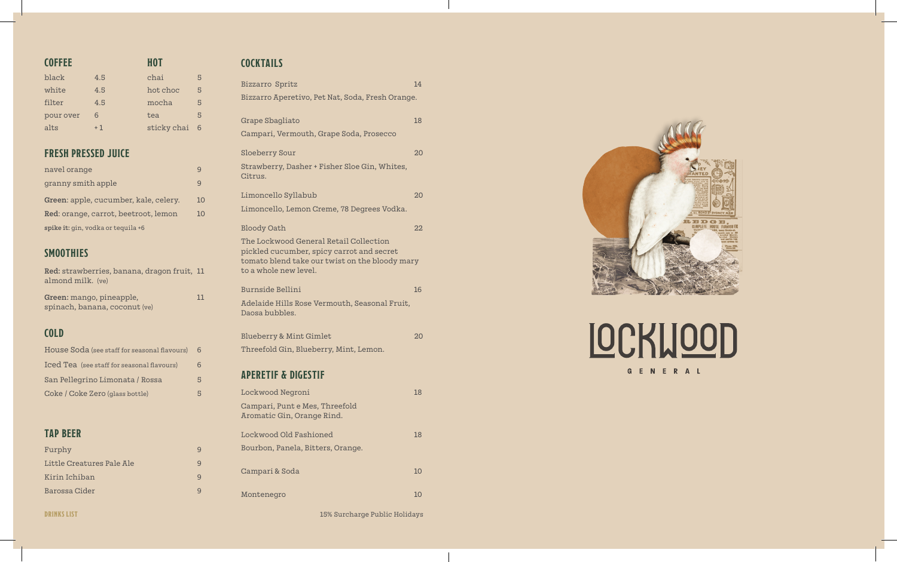| <b>COFFEE</b> |      | HOT         |    |
|---------------|------|-------------|----|
| black         | 4.5  | chai        | 5  |
| white         | 4.5  | hot choc    | 5  |
| filter        | 4.5  | mocha       | 5  |
| pour over     | 6    | tea         | 5  |
| alts          | $+1$ | sticky chai | -6 |

## FRESH PRESSED JUICE

| navel orange                          | ч  |
|---------------------------------------|----|
| granny smith apple                    | q  |
| Green: apple, cucumber, kale, celery. | 10 |
| Red: orange, carrot, beetroot, lemon  | 10 |
| spike it: gin, vodka or tequila +6    |    |

# **SMOOTHIES**

| Red: strawberries, banana, dragon fruit, 11 |  |  |  |
|---------------------------------------------|--|--|--|
| almond milk. (ye)                           |  |  |  |
|                                             |  |  |  |

## COLD

| House Soda (see staff for seasonal flavours) | 6 |
|----------------------------------------------|---|
| Iced Tea (see staff for seasonal flavours)   | 6 |
| San Pellegrino Limonata / Rossa              | 5 |
| Coke / Coke Zero (glass bottle)              | 5 |

## TAP BEER

| Furphy                    |  |
|---------------------------|--|
| Little Creatures Pale Ale |  |
| Kirin Jchiban             |  |
| Barossa Cider             |  |
|                           |  |

### **COCKTAILS**

| black                                                     | 4.5                                          | chai        | 5                                                               | Bizzarro Spritz                                                                                                                                                | 14 |
|-----------------------------------------------------------|----------------------------------------------|-------------|-----------------------------------------------------------------|----------------------------------------------------------------------------------------------------------------------------------------------------------------|----|
| white                                                     | 4.5                                          | hot choc    | 5                                                               |                                                                                                                                                                |    |
| filter                                                    | 4.5                                          | mocha       | 5                                                               | Bizzarro Aperetivo, Pet Nat, Soda, Fresh Orange.                                                                                                               |    |
| pour over                                                 | 6                                            | tea         | 5                                                               | Grape Sbagliato                                                                                                                                                | 18 |
| alts                                                      | $+1$                                         | sticky chai | 6                                                               | Campari, Vermouth, Grape Soda, Prosecco                                                                                                                        |    |
| <b>FRESH PRESSED JUICE</b>                                |                                              |             |                                                                 | Sloeberry Sour                                                                                                                                                 | 20 |
| navel orange                                              |                                              |             | 9                                                               | Strawberry, Dasher + Fisher Sloe Gin, Whites,                                                                                                                  |    |
| granny smith apple                                        |                                              |             | 9                                                               | Citrus.                                                                                                                                                        |    |
|                                                           | Green: apple, cucumber, kale, celery.        |             | 10                                                              | Limoncello Syllabub                                                                                                                                            | 20 |
|                                                           | Red: orange, carrot, beetroot, lemon         |             | 10                                                              | Limoncello, Lemon Creme, 78 Degrees Vodka.                                                                                                                     |    |
|                                                           | spike it: gin, vodka or tequila +6           |             |                                                                 | <b>Bloody Oath</b>                                                                                                                                             | 22 |
| SMOOTHIES                                                 | Red: strawberries, banana, dragon fruit, 11  |             |                                                                 | The Lockwood General Retail Collection<br>pickled cucumber, spicy carrot and secret<br>tomato blend take our twist on the bloody mary<br>to a whole new level. |    |
| almond milk. (ve)                                         |                                              |             |                                                                 | Burnside Bellini                                                                                                                                               | 16 |
| Green: mango, pineapple,<br>spinach, banana, coconut (ve) |                                              | 11          | Adelaide Hills Rose Vermouth, Seasonal Fruit,<br>Daosa bubbles. |                                                                                                                                                                |    |
| <b>COLD</b>                                               |                                              |             |                                                                 | <b>Blueberry &amp; Mint Gimlet</b>                                                                                                                             | 20 |
|                                                           | House Soda (see staff for seasonal flavours) |             | 6                                                               | Threefold Gin, Blueberry, Mint, Lemon.                                                                                                                         |    |
|                                                           | Iced Tea (see staff for seasonal flavours)   |             | 6                                                               |                                                                                                                                                                |    |
|                                                           | San Pellegrino Limonata / Rossa              |             | 5                                                               | <b>APERETIF &amp; DIGESTIF</b>                                                                                                                                 |    |
|                                                           | Coke / Coke Zero (glass bottle)              |             | 5                                                               | Lockwood Negroni                                                                                                                                               | 18 |
|                                                           |                                              |             |                                                                 | Campari, Punt e Mes, Threefold<br>Aromatic Gin, Orange Rind.                                                                                                   |    |
| <b>TAP BEER</b>                                           |                                              |             |                                                                 | Lockwood Old Fashioned                                                                                                                                         | 18 |
| Furphy                                                    |                                              |             | 9                                                               | Bourbon, Panela, Bitters, Orange.                                                                                                                              |    |
| <b>Little Creatures Pale Ale</b>                          |                                              |             | 9                                                               |                                                                                                                                                                |    |
| Kirin Ichiban                                             |                                              |             | 9                                                               | Campari & Soda                                                                                                                                                 | 10 |
| <b>Barossa Cider</b>                                      |                                              |             | 9                                                               | Montenegro                                                                                                                                                     | 10 |
| <b>DRINKS LIST</b>                                        |                                              |             |                                                                 | 15% Surcharge Public Holidays                                                                                                                                  |    |
|                                                           |                                              |             |                                                                 |                                                                                                                                                                |    |